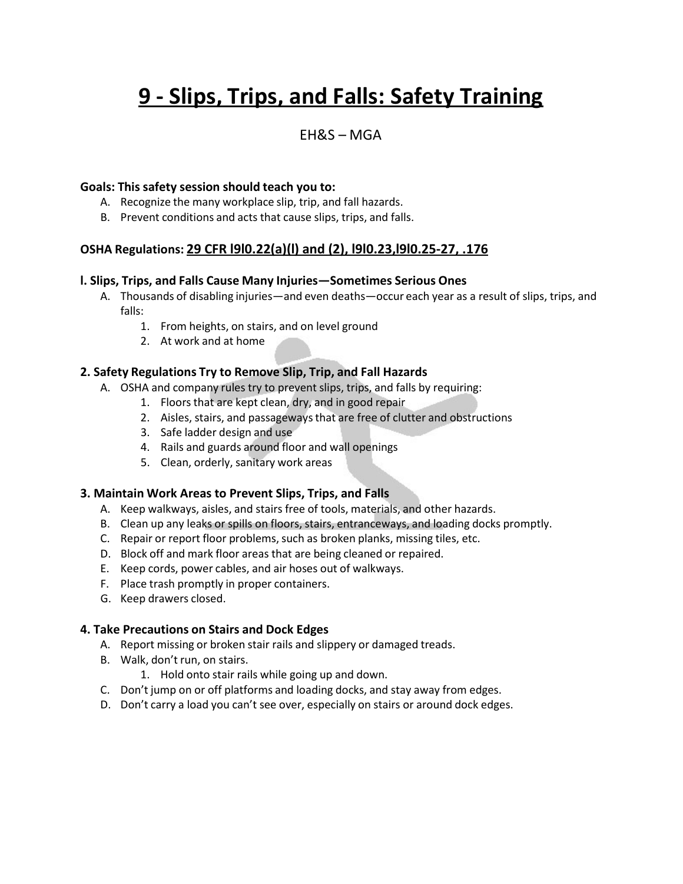# **9 - Slips, Trips, and Falls: Safety Training**

### EH&S – MGA

#### **Goals: This safety session should teach you to:**

- A. Recognize the many workplace slip, trip, and fall hazards.
- B. Prevent conditions and acts that cause slips, trips, and falls.

#### **OSHA Regulations: 29 CFR l9l0.22(a)(l) and (2), l9l0.23,l9l0.25-27, .176**

#### **l. Slips, Trips, and Falls Cause Many Injuries—Sometimes Serious Ones**

- A. Thousands of disabling injuries—and even deaths—occur each year as a result of slips, trips, and falls:
	- 1. From heights, on stairs, and on level ground
	- 2. At work and at home

#### **2. Safety Regulations Try to Remove Slip, Trip, and Fall Hazards**

- A. OSHA and company rules try to prevent slips, trips, and falls by requiring:
	- 1. Floors that are kept clean, dry, and in good repair
	- 2. Aisles, stairs, and passagewaysthat are free of clutter and obstructions
	- 3. Safe ladder design and use
	- 4. Rails and guards around floor and wall openings
	- 5. Clean, orderly, sanitary work areas

#### **3. Maintain Work Areas to Prevent Slips, Trips, and Falls**

- A. Keep walkways, aisles, and stairs free of tools, materials, and other hazards.
- B. Clean up any leaks or spills on floors, stairs, entranceways, and loading docks promptly.
- C. Repair or report floor problems, such as broken planks, missing tiles, etc.
- D. Block off and mark floor areas that are being cleaned or repaired.
- E. Keep cords, power cables, and air hoses out of walkways.
- F. Place trash promptly in proper containers.
- G. Keep drawers closed.

#### **4. Take Precautions on Stairs and Dock Edges**

- A. Report missing or broken stair rails and slippery or damaged treads.
- B. Walk, don't run, on stairs.
	- 1. Hold onto stair rails while going up and down.
- C. Don't jump on or off platforms and loading docks, and stay away from edges.
- D. Don't carry a load you can't see over, especially on stairs or around dock edges.